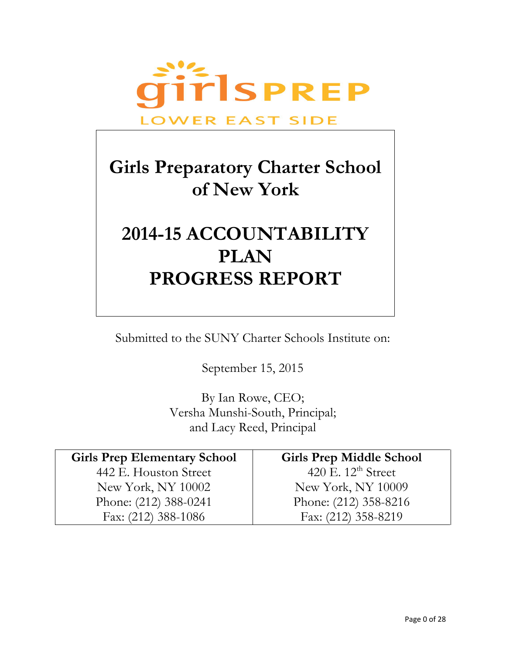

# **Girls Preparatory Charter School of New York**

# **2014-15 ACCOUNTABILITY PLAN PROGRESS REPORT**

Submitted to the SUNY Charter Schools Institute on:

September 15, 2015

By Ian Rowe, CEO; Versha Munshi-South, Principal; and Lacy Reed, Principal

| <b>Girls Prep Elementary School</b> | <b>Girls Prep Middle School</b> |
|-------------------------------------|---------------------------------|
| 442 E. Houston Street               | 420 E. $12^{\text{th}}$ Street  |
| New York, NY 10002                  | New York, NY 10009              |
| Phone: (212) 388-0241               | Phone: (212) 358-8216           |
| Fax: $(212)$ 388-1086               | Fax: (212) 358-8219             |
|                                     |                                 |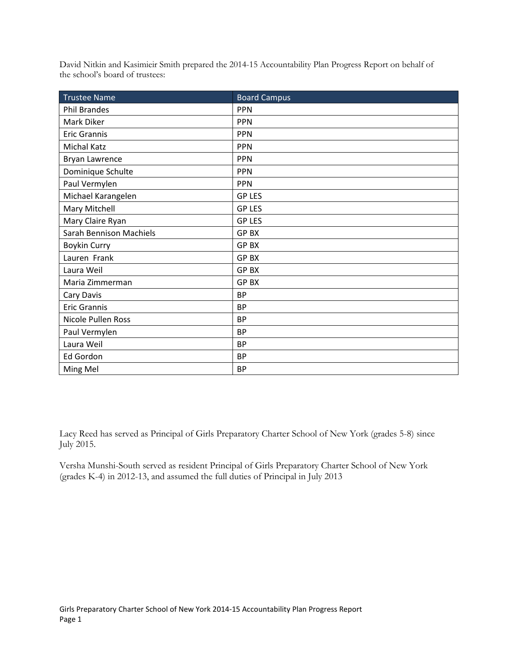David Nitkin and Kasimieir Smith prepared the 2014-15 Accountability Plan Progress Report on behalf of the school's board of trustees:

| <b>Trustee Name</b>            | <b>Board Campus</b> |
|--------------------------------|---------------------|
| Phil Brandes                   | <b>PPN</b>          |
| Mark Diker                     | <b>PPN</b>          |
| <b>Eric Grannis</b>            | <b>PPN</b>          |
| <b>Michal Katz</b>             | <b>PPN</b>          |
| <b>Bryan Lawrence</b>          | <b>PPN</b>          |
| Dominique Schulte              | <b>PPN</b>          |
| Paul Vermylen                  | <b>PPN</b>          |
| Michael Karangelen             | <b>GP LES</b>       |
| Mary Mitchell                  | <b>GP LES</b>       |
| Mary Claire Ryan               | <b>GP LES</b>       |
| <b>Sarah Bennison Machiels</b> | <b>GPBX</b>         |
| <b>Boykin Curry</b>            | <b>GPBX</b>         |
| Lauren Frank                   | GP BX               |
| Laura Weil                     | <b>GPBX</b>         |
| Maria Zimmerman                | <b>GPBX</b>         |
| Cary Davis                     | <b>BP</b>           |
| <b>Eric Grannis</b>            | <b>BP</b>           |
| Nicole Pullen Ross             | <b>BP</b>           |
| Paul Vermylen                  | <b>BP</b>           |
| Laura Weil                     | <b>BP</b>           |
| Ed Gordon                      | <b>BP</b>           |
| Ming Mel                       | <b>BP</b>           |

Lacy Reed has served as Principal of Girls Preparatory Charter School of New York (grades 5-8) since July 2015.

Versha Munshi-South served as resident Principal of Girls Preparatory Charter School of New York (grades K-4) in 2012-13, and assumed the full duties of Principal in July 2013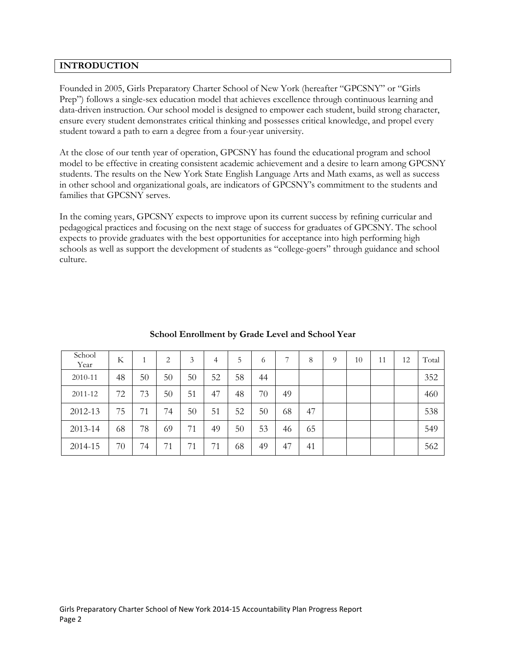# **INTRODUCTION**

Founded in 2005, Girls Preparatory Charter School of New York (hereafter "GPCSNY" or "Girls Prep") follows a single-sex education model that achieves excellence through continuous learning and data-driven instruction. Our school model is designed to empower each student, build strong character, ensure every student demonstrates critical thinking and possesses critical knowledge, and propel every student toward a path to earn a degree from a four-year university.

At the close of our tenth year of operation, GPCSNY has found the educational program and school model to be effective in creating consistent academic achievement and a desire to learn among GPCSNY students. The results on the New York State English Language Arts and Math exams, as well as success in other school and organizational goals, are indicators of GPCSNY's commitment to the students and families that GPCSNY serves.

In the coming years, GPCSNY expects to improve upon its current success by refining curricular and pedagogical practices and focusing on the next stage of success for graduates of GPCSNY. The school expects to provide graduates with the best opportunities for acceptance into high performing high schools as well as support the development of students as "college-goers" through guidance and school culture.

| School<br>Year | K  |    | 2  | 3  | 4  | 5  | 6  | 7  | 8  | 9 | 10 | 11 | 12 | Total |
|----------------|----|----|----|----|----|----|----|----|----|---|----|----|----|-------|
| 2010-11        | 48 | 50 | 50 | 50 | 52 | 58 | 44 |    |    |   |    |    |    | 352   |
| 2011-12        | 72 | 73 | 50 | 51 | 47 | 48 | 70 | 49 |    |   |    |    |    | 460   |
| 2012-13        | 75 | 71 | 74 | 50 | 51 | 52 | 50 | 68 | 47 |   |    |    |    | 538   |
| 2013-14        | 68 | 78 | 69 | 71 | 49 | 50 | 53 | 46 | 65 |   |    |    |    | 549   |
| 2014-15        | 70 | 74 | 71 | 71 | 71 | 68 | 49 | 47 | 41 |   |    |    |    | 562   |

# **School Enrollment by Grade Level and School Year**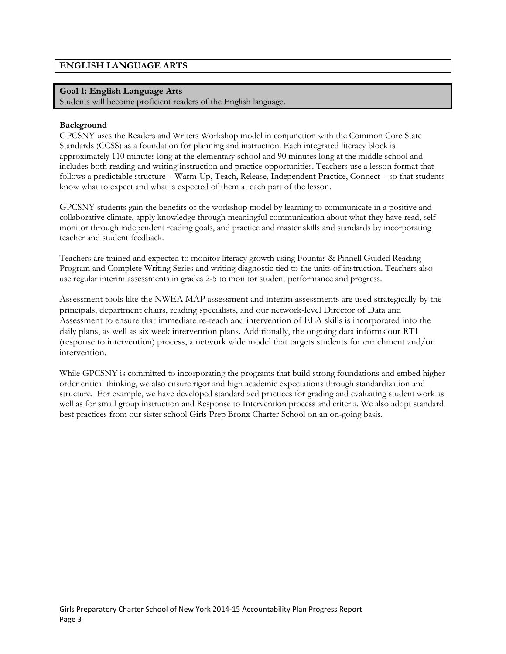# **ENGLISH LANGUAGE ARTS**

# **Goal 1: English Language Arts**

Students will become proficient readers of the English language.

#### **Background**

GPCSNY uses the Readers and Writers Workshop model in conjunction with the Common Core State Standards (CCSS) as a foundation for planning and instruction. Each integrated literacy block is approximately 110 minutes long at the elementary school and 90 minutes long at the middle school and includes both reading and writing instruction and practice opportunities. Teachers use a lesson format that follows a predictable structure – Warm-Up, Teach, Release, Independent Practice, Connect – so that students know what to expect and what is expected of them at each part of the lesson.

GPCSNY students gain the benefits of the workshop model by learning to communicate in a positive and collaborative climate, apply knowledge through meaningful communication about what they have read, selfmonitor through independent reading goals, and practice and master skills and standards by incorporating teacher and student feedback.

Teachers are trained and expected to monitor literacy growth using Fountas & Pinnell Guided Reading Program and Complete Writing Series and writing diagnostic tied to the units of instruction. Teachers also use regular interim assessments in grades 2-5 to monitor student performance and progress.

Assessment tools like the NWEA MAP assessment and interim assessments are used strategically by the principals, department chairs, reading specialists, and our network-level Director of Data and Assessment to ensure that immediate re-teach and intervention of ELA skills is incorporated into the daily plans, as well as six week intervention plans. Additionally, the ongoing data informs our RTI (response to intervention) process, a network wide model that targets students for enrichment and/or intervention.

While GPCSNY is committed to incorporating the programs that build strong foundations and embed higher order critical thinking, we also ensure rigor and high academic expectations through standardization and structure. For example, we have developed standardized practices for grading and evaluating student work as well as for small group instruction and Response to Intervention process and criteria. We also adopt standard best practices from our sister school Girls Prep Bronx Charter School on an on-going basis.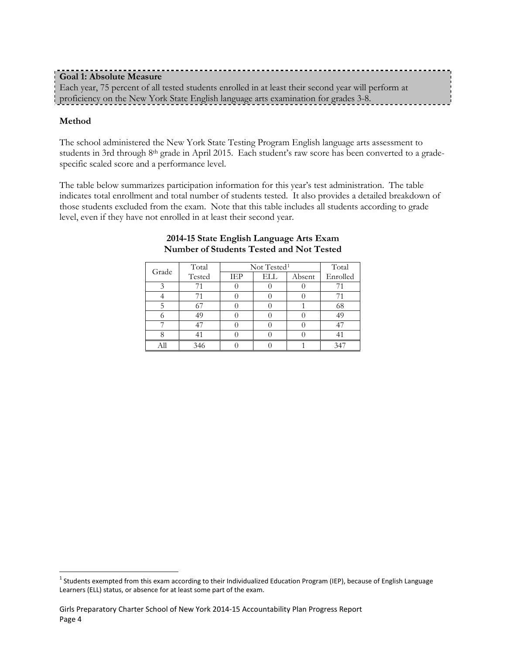| <b>Goal 1: Absolute Measure</b>                                                                     |  |
|-----------------------------------------------------------------------------------------------------|--|
| Each year, 75 percent of all tested students enrolled in at least their second year will perform at |  |
| proficiency on the New York State English language arts examination for grades 3-8.                 |  |

# **Method**

 $\overline{a}$ 

The school administered the New York State Testing Program English language arts assessment to students in 3rd through 8th grade in April 2015. Each student's raw score has been converted to a gradespecific scaled score and a performance level.

The table below summarizes participation information for this year's test administration. The table indicates total enrollment and total number of students tested. It also provides a detailed breakdown of those students excluded from the exam. Note that this table includes all students according to grade level, even if they have not enrolled in at least their second year.

| Grade | Total  |            | Not Tested <sup>1</sup> | Total  |          |
|-------|--------|------------|-------------------------|--------|----------|
|       | Tested | <b>IEP</b> | ELL                     | Absent | Enrolled |
|       |        |            |                         |        |          |
|       |        |            |                         |        |          |
|       |        |            |                         |        | 68       |
|       |        |            |                         |        | 49       |
|       |        |            |                         |        | 47       |
|       |        |            |                         |        |          |
|       | 346    |            |                         |        |          |

#### **2014-15 State English Language Arts Exam Number of Students Tested and Not Tested**

<span id="page-4-0"></span><sup>&</sup>lt;sup>1</sup> Students exempted from this exam according to their Individualized Education Program (IEP), because of English Language Learners (ELL) status, or absence for at least some part of the exam.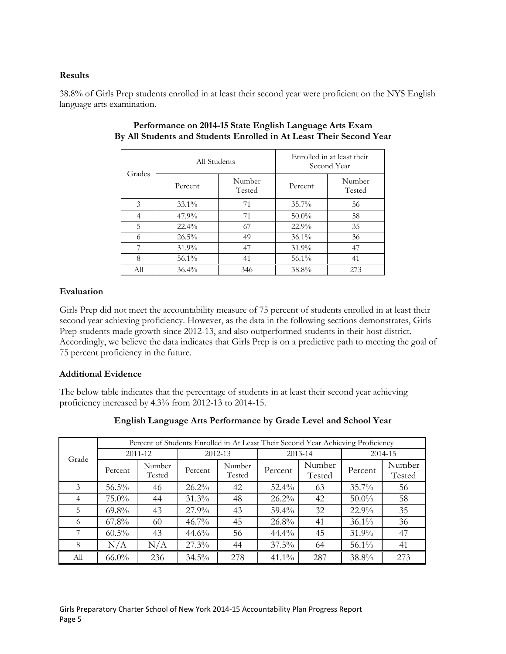# **Results**

38.8% of Girls Prep students enrolled in at least their second year were proficient on the NYS English language arts examination.

| Grades         | All Students |                  | Enrolled in at least their<br>Second Year |                  |  |
|----------------|--------------|------------------|-------------------------------------------|------------------|--|
|                | Percent      | Number<br>Tested | Percent                                   | Number<br>Tested |  |
| 3              | $33.1\%$     | 71               | $35.7\%$                                  | 56               |  |
| $\overline{4}$ | 47.9%        | 71               | $50.0\%$                                  | 58               |  |
| 5              | $22.4\%$     | 67               | 22.9%                                     | 35               |  |
| 6              | $26.5\%$     | 49               | $36.1\%$                                  | 36               |  |
| 7              | 31.9%        | 47               | $31.9\%$                                  | 47               |  |
| 8              | $56.1\%$     | 41               | $56.1\%$                                  | 41               |  |
| All            | 36.4%        | 346              | 38.8%                                     | 273              |  |

# **Performance on 2014-15 State English Language Arts Exam By All Students and Students Enrolled in At Least Their Second Year**

# **Evaluation**

Girls Prep did not meet the accountability measure of 75 percent of students enrolled in at least their second year achieving proficiency. However, as the data in the following sections demonstrates, Girls Prep students made growth since 2012-13, and also outperformed students in their host district. Accordingly, we believe the data indicates that Girls Prep is on a predictive path to meeting the goal of 75 percent proficiency in the future.

# **Additional Evidence**

The below table indicates that the percentage of students in at least their second year achieving proficiency increased by 4.3% from 2012-13 to 2014-15.

|       | Percent of Students Enrolled in At Least Their Second Year Achieving Proficiency |                  |          |                  |          |                  |          |                  |  |  |
|-------|----------------------------------------------------------------------------------|------------------|----------|------------------|----------|------------------|----------|------------------|--|--|
| Grade | 2011-12                                                                          |                  |          | 2012-13          |          | 2013-14          | 2014-15  |                  |  |  |
|       | Percent                                                                          | Number<br>Tested | Percent  | Number<br>Tested | Percent  | Number<br>Tested | Percent  | Number<br>Tested |  |  |
| 3     | $56.5\%$                                                                         | 46               | $26.2\%$ | 42               | $52.4\%$ | 63               | $35.7\%$ | 56               |  |  |
| 4     | $75.0\%$                                                                         | 44               | 31.3%    | 48               | $26.2\%$ | 42               | $50.0\%$ | 58               |  |  |
| 5     | $69.8\%$                                                                         | 43               | $27.9\%$ | 43               | $59.4\%$ | 32               | $22.9\%$ | 35               |  |  |
| 6     | $67.8\%$                                                                         | 60               | $46.7\%$ | 45               | 26.8%    | 41               | $36.1\%$ | 36               |  |  |
|       | $60.5\%$                                                                         | 43               | 44.6%    | 56               | 44.4%    | 45               | $31.9\%$ | 47               |  |  |
| 8     | N/A                                                                              | N/A              | $27.3\%$ | 44               | $37.5\%$ | 64               | $56.1\%$ | 41               |  |  |
| All   | $66.0\%$                                                                         | 236              | $34.5\%$ | 278              | $41.1\%$ | 287              | 38.8%    | 273              |  |  |

# **English Language Arts Performance by Grade Level and School Year**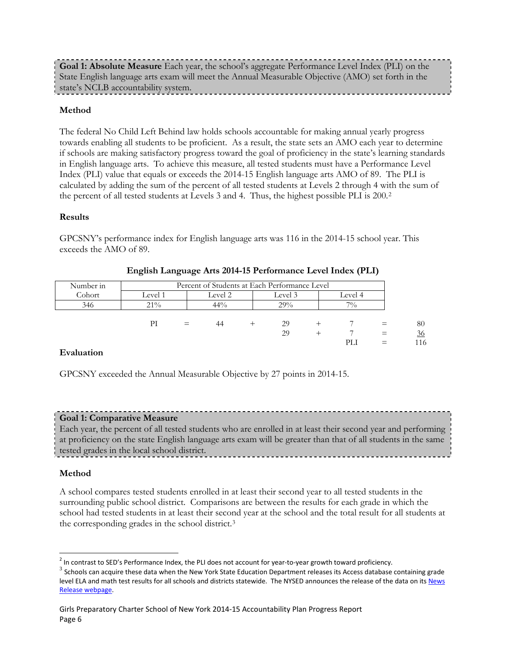**Goal 1: Absolute Measure** Each year, the school's aggregate Performance Level Index (PLI) on the State English language arts exam will meet the Annual Measurable Objective (AMO) set forth in the state's NCLB accountability system.

# **Method**

The federal No Child Left Behind law holds schools accountable for making annual yearly progress towards enabling all students to be proficient. As a result, the state sets an AMO each year to determine if schools are making satisfactory progress toward the goal of proficiency in the state's learning standards in English language arts. To achieve this measure, all tested students must have a Performance Level Index (PLI) value that equals or exceeds the 2014-15 English language arts AMO of 89. The PLI is calculated by adding the sum of the percent of all tested students at Levels 2 through 4 with the sum of the percent of all tested students at Levels 3 and 4. Thus, the highest possible PLI is 200.[2](#page-6-0)

#### **Results**

GPCSNY's performance index for English language arts was 116 in the 2014-15 school year. This exceeds the AMO of 89.

| Number in |         | Percent of Students at Each Performance Level |         |         |  |         |     |     |  |
|-----------|---------|-----------------------------------------------|---------|---------|--|---------|-----|-----|--|
| Cohort    | level J |                                               | Level 2 | Level 3 |  | Level 4 |     |     |  |
| 346       | 21%     |                                               | 44%     | 29%     |  | 70/0    |     |     |  |
|           |         |                                               |         |         |  |         |     |     |  |
|           | PI      | $=$                                           | 44      | 29      |  |         |     | 80  |  |
|           |         |                                               |         | 29      |  |         | $=$ | 36  |  |
|           |         |                                               |         |         |  |         |     | 116 |  |

# **English Language Arts 2014-15 Performance Level Index (PLI)**

#### **Evaluation**

GPCSNY exceeded the Annual Measurable Objective by 27 points in 2014-15.

#### **Goal 1: Comparative Measure**

Each year, the percent of all tested students who are enrolled in at least their second year and performing at proficiency on the state English language arts exam will be greater than that of all students in the same tested grades in the local school district.

#### **Method**

 $\overline{a}$ 

A school compares tested students enrolled in at least their second year to all tested students in the surrounding public school district. Comparisons are between the results for each grade in which the school had tested students in at least their second year at the school and the total result for all students at the corresponding grades in the school district.[3](#page-6-1)

<span id="page-6-0"></span><sup>&</sup>lt;sup>2</sup> In contrast to SED's Performance Index, the PLI does not account for year-to-year growth toward proficiency.

<span id="page-6-1"></span> $3$  Schools can acquire these data when the New York State Education Department releases its Access database containing grade level ELA and math test results for all schools and districts statewide. The NYSED announces the release of the data on its News [Release webpage.](http://www.oms.nysed.gov/press/)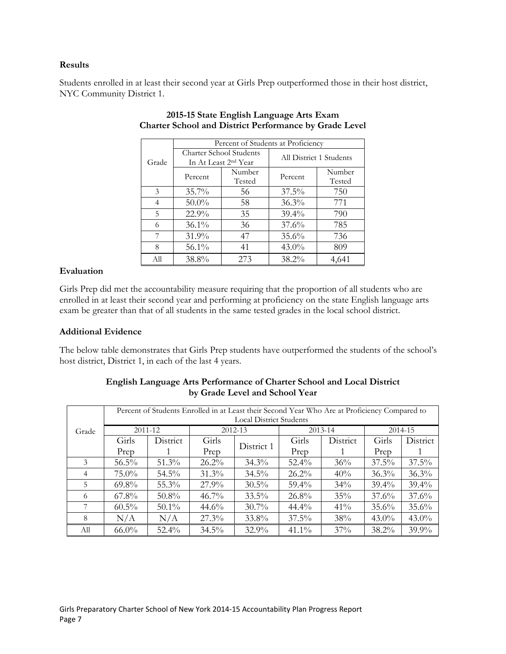# **Results**

Students enrolled in at least their second year at Girls Prep outperformed those in their host district, NYC Community District 1.

|               |                         | Percent of Students at Proficiency |                         |                  |  |  |  |  |  |  |
|---------------|-------------------------|------------------------------------|-------------------------|------------------|--|--|--|--|--|--|
| Grade         | Charter School Students | In At Least 2 <sup>nd</sup> Year   | All District 1 Students |                  |  |  |  |  |  |  |
|               | Percent                 | Number<br>Tested                   | Percent                 | Number<br>Tested |  |  |  |  |  |  |
| $\mathcal{E}$ | $35.7\%$                | 56                                 | $37.5\%$                | 750              |  |  |  |  |  |  |
| 4             | $50.0\%$                | 58                                 | $36.3\%$                | 771              |  |  |  |  |  |  |
| 5             | 22.9%                   | 35                                 | $39.4\%$                | 790              |  |  |  |  |  |  |
| 6             | $36.1\%$                | 36                                 | $37.6\%$                | 785              |  |  |  |  |  |  |
| 7             | 31.9%                   | 47                                 | 35.6%                   | 736              |  |  |  |  |  |  |
| 8             | $56.1\%$                | 41                                 | $43.0\%$                | 809              |  |  |  |  |  |  |
| All           | 38.8%                   | 273                                | $38.2\%$                | 4,641            |  |  |  |  |  |  |

# **2015-15 State English Language Arts Exam Charter School and District Performance by Grade Level**

# **Evaluation**

Girls Prep did met the accountability measure requiring that the proportion of all students who are enrolled in at least their second year and performing at proficiency on the state English language arts exam be greater than that of all students in the same tested grades in the local school district.

# **Additional Evidence**

The below table demonstrates that Girls Prep students have outperformed the students of the school's host district, District 1, in each of the last 4 years.

|                |                                | Percent of Students Enrolled in at Least their Second Year Who Are at Proficiency Compared to |          |            |          |          |          |          |  |  |  |  |
|----------------|--------------------------------|-----------------------------------------------------------------------------------------------|----------|------------|----------|----------|----------|----------|--|--|--|--|
|                | <b>Local District Students</b> |                                                                                               |          |            |          |          |          |          |  |  |  |  |
| Grade          | 2011-12                        |                                                                                               |          | 2012-13    |          | 2013-14  | 2014-15  |          |  |  |  |  |
|                | Girls                          | District                                                                                      | Girls    | District 1 | Girls    | District | Girls    | District |  |  |  |  |
|                | Prep                           |                                                                                               | Prep     |            | Prep     |          | Prep     |          |  |  |  |  |
| 3              | $56.5\%$                       | 51.3%                                                                                         | $26.2\%$ | $34.3\%$   | $52.4\%$ | 36%      | $37.5\%$ | $37.5\%$ |  |  |  |  |
| $\overline{4}$ | $75.0\%$                       | $54.5\%$                                                                                      | $31.3\%$ | 34.5%      | $26.2\%$ | 40%      | $36.3\%$ | 36.3%    |  |  |  |  |
| 5              | $69.8\%$                       | $55.3\%$                                                                                      | $27.9\%$ | $30.5\%$   | $59.4\%$ | $34\%$   | $39.4\%$ | $39.4\%$ |  |  |  |  |
| 6              | $67.8\%$                       | $50.8\%$                                                                                      | $46.7\%$ | $33.5\%$   | $26.8\%$ | 35%      | $37.6\%$ | 37.6%    |  |  |  |  |
| 7              | $60.5\%$                       | $50.1\%$                                                                                      | $44.6\%$ | $30.7\%$   | $44.4\%$ | $41\%$   | 35.6%    | 35.6%    |  |  |  |  |
| 8              | N/A                            | N/A                                                                                           | $27.3\%$ | 33.8%      | $37.5\%$ | 38%      | $43.0\%$ | $43.0\%$ |  |  |  |  |
| All            | $66.0\%$                       | $52.4\%$                                                                                      | $34.5\%$ | 32.9%      | $41.1\%$ | 37%      | $38.2\%$ | $39.9\%$ |  |  |  |  |

# **English Language Arts Performance of Charter School and Local District by Grade Level and School Year**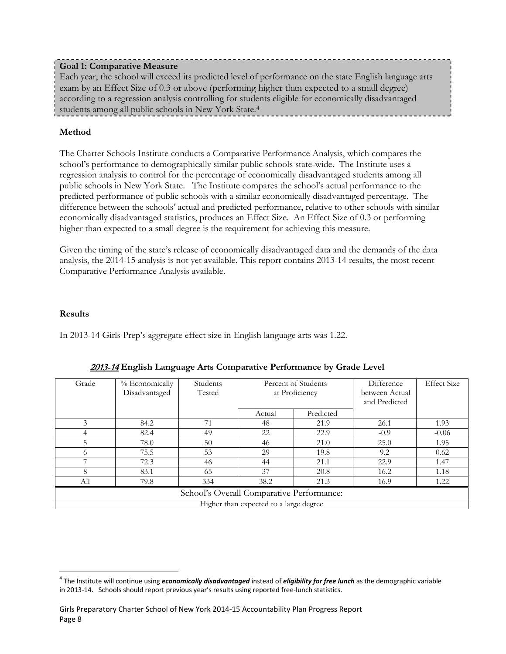# **Goal 1: Comparative Measure**

Each year, the school will exceed its predicted level of performance on the state English language arts exam by an Effect Size of 0.3 or above (performing higher than expected to a small degree) according to a regression analysis controlling for students eligible for economically disadvantaged students among all public schools in New York State[.4](#page-8-0)

# **Method**

The Charter Schools Institute conducts a Comparative Performance Analysis, which compares the school's performance to demographically similar public schools state-wide. The Institute uses a regression analysis to control for the percentage of economically disadvantaged students among all public schools in New York State. The Institute compares the school's actual performance to the predicted performance of public schools with a similar economically disadvantaged percentage. The difference between the schools' actual and predicted performance, relative to other schools with similar economically disadvantaged statistics, produces an Effect Size. An Effect Size of 0.3 or performing higher than expected to a small degree is the requirement for achieving this measure.

Given the timing of the state's release of economically disadvantaged data and the demands of the data analysis, the 2014-15 analysis is not yet available. This report contains 2013-14 results, the most recent Comparative Performance Analysis available.

# **Results**

In 2013-14 Girls Prep's aggregate effect size in English language arts was 1.22.

| Grade | % Economically<br>Disadvantaged           | Students<br>Tested | Percent of Students<br>at Proficiency  |           | Difference<br>between Actual<br>and Predicted | <b>Effect Size</b> |  |  |  |  |
|-------|-------------------------------------------|--------------------|----------------------------------------|-----------|-----------------------------------------------|--------------------|--|--|--|--|
|       |                                           |                    | Actual                                 | Predicted |                                               |                    |  |  |  |  |
| 3     | 84.2                                      | 71                 | 48                                     | 21.9      | 26.1                                          | 1.93               |  |  |  |  |
|       | 82.4                                      | 49                 | 22                                     | 22.9      | $-0.9$                                        | $-0.06$            |  |  |  |  |
| 5     | 78.0                                      | 50                 | 46                                     | 21.0      | 25.0                                          | 1.95               |  |  |  |  |
| 6     | 75.5                                      | 53                 | 29                                     | 19.8      | 9.2                                           | 0.62               |  |  |  |  |
|       | 72.3                                      | 46                 | 44                                     | 21.1      | 22.9                                          | 1.47               |  |  |  |  |
| 8     | 83.1                                      | 65                 | 37                                     | 20.8      | 16.2                                          | 1.18               |  |  |  |  |
| All   | 79.8                                      | 334                | 38.2                                   | 21.3      | 16.9                                          | 1.22               |  |  |  |  |
|       | School's Overall Comparative Performance: |                    |                                        |           |                                               |                    |  |  |  |  |
|       |                                           |                    | Higher than expected to a large degree |           |                                               |                    |  |  |  |  |

# 2013-14 **English Language Arts Comparative Performance by Grade Level**

<span id="page-8-0"></span><sup>4</sup> The Institute will continue using *economically disadvantaged* instead of *eligibility for free lunch* as the demographic variable in 2013-14. Schools should report previous year's results using reported free-lunch statistics.  $\overline{a}$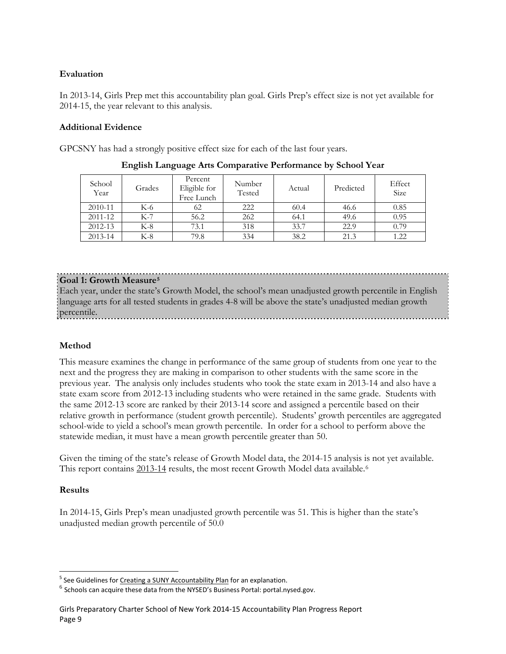# **Evaluation**

In 2013-14, Girls Prep met this accountability plan goal. Girls Prep's effect size is not yet available for 2014-15, the year relevant to this analysis.

# **Additional Evidence**

GPCSNY has had a strongly positive effect size for each of the last four years.

| School<br>Year | Grades | Percent<br>Eligible for<br>Free Lunch | Number<br>Tested | Actual | Predicted | Effect<br>Size |
|----------------|--------|---------------------------------------|------------------|--------|-----------|----------------|
| 2010-11        | K-6    | 62                                    | 222              | 60.4   | 46.6      | 0.85           |
| 2011-12        | K-7    | 56.2                                  | 262              | 64.1   | 49.6      | 0.95           |
| $2012 - 13$    | $K-8$  | 73.1                                  | 318              | 33.7   | 22.9      | 0.79           |
| 2013-14        | $K-8$  | 79.8                                  | 334              | 38.2   | 21.3      | 1.22           |

**English Language Arts Comparative Performance by School Year**

# **Goal 1: Growth Measure[5](#page-9-0)**

Each year, under the state's Growth Model, the school's mean unadjusted growth percentile in English language arts for all tested students in grades 4-8 will be above the state's unadjusted median growth percentile.

# **Method**

This measure examines the change in performance of the same group of students from one year to the next and the progress they are making in comparison to other students with the same score in the previous year. The analysis only includes students who took the state exam in 2013-14 and also have a state exam score from 2012-13 including students who were retained in the same grade. Students with the same 2012-13 score are ranked by their 2013-14 score and assigned a percentile based on their relative growth in performance (student growth percentile). Students' growth percentiles are aggregated school-wide to yield a school's mean growth percentile. In order for a school to perform above the statewide median, it must have a mean growth percentile greater than 50.

Given the timing of the state's release of Growth Model data, the 2014-15 analysis is not yet available. This report contains 2013-14 results, the most recent Growth Model data available.<sup>[6](#page-9-1)</sup>

# **Results**

In 2014-15, Girls Prep's mean unadjusted growth percentile was 51. This is higher than the state's unadjusted median growth percentile of 50.0

<span id="page-9-0"></span><sup>&</sup>lt;sup>5</sup> See Guidelines for Creating a SUNY Accountability Plan for an explanation.

<span id="page-9-1"></span> $^6$  Schools can acquire these data from the NYSED's Business Portal: portal.nysed.gov.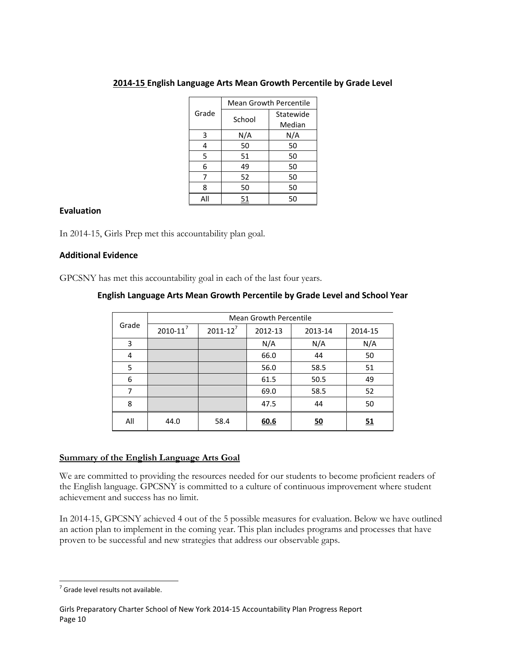|       | <b>Mean Growth Percentile</b> |           |  |  |  |
|-------|-------------------------------|-----------|--|--|--|
| Grade | School                        | Statewide |  |  |  |
|       |                               | Median    |  |  |  |
| 3     | N/A                           | N/A       |  |  |  |
| 4     | 50                            | 50        |  |  |  |
| 5     | 51                            | 50        |  |  |  |
| 6     | 49                            | 50        |  |  |  |
| 7     | 52                            | 50        |  |  |  |
| 8     | 50                            | 50        |  |  |  |
| All   | 51                            | 50        |  |  |  |

# **2014-15 English Language Arts Mean Growth Percentile by Grade Level**

#### **Evaluation**

In 2014-15, Girls Prep met this accountability plan goal.

#### **Additional Evidence**

GPCSNY has met this accountability goal in each of the last four years.

| English Language Arts Mean Growth Percentile by Grade Level and School Year |  |  |
|-----------------------------------------------------------------------------|--|--|
|                                                                             |  |  |

|       | <b>Mean Growth Percentile</b> |                 |         |           |         |  |  |  |  |
|-------|-------------------------------|-----------------|---------|-----------|---------|--|--|--|--|
| Grade | $2010 - 11^7$                 | $2011 - 12^{7}$ | 2012-13 | 2013-14   | 2014-15 |  |  |  |  |
| 3     |                               |                 | N/A     | N/A       | N/A     |  |  |  |  |
| 4     |                               |                 | 66.0    | 44        | 50      |  |  |  |  |
| 5     |                               |                 | 56.0    | 58.5      | 51      |  |  |  |  |
| 6     |                               |                 | 61.5    | 50.5      | 49      |  |  |  |  |
| 7     |                               |                 | 69.0    | 58.5      | 52      |  |  |  |  |
| 8     |                               |                 | 47.5    | 44        | 50      |  |  |  |  |
| All   | 44.0                          | 58.4            | 60.6    | <u>50</u> | 51      |  |  |  |  |

#### **Summary of the English Language Arts Goal**

We are committed to providing the resources needed for our students to become proficient readers of the English language. GPCSNY is committed to a culture of continuous improvement where student achievement and success has no limit.

In 2014-15, GPCSNY achieved 4 out of the 5 possible measures for evaluation. Below we have outlined an action plan to implement in the coming year. This plan includes programs and processes that have proven to be successful and new strategies that address our observable gaps.

<span id="page-10-0"></span> $<sup>7</sup>$  Grade level results not available.</sup>  $\overline{a}$ 

Girls Preparatory Charter School of New York 2014-15 Accountability Plan Progress Report Page 10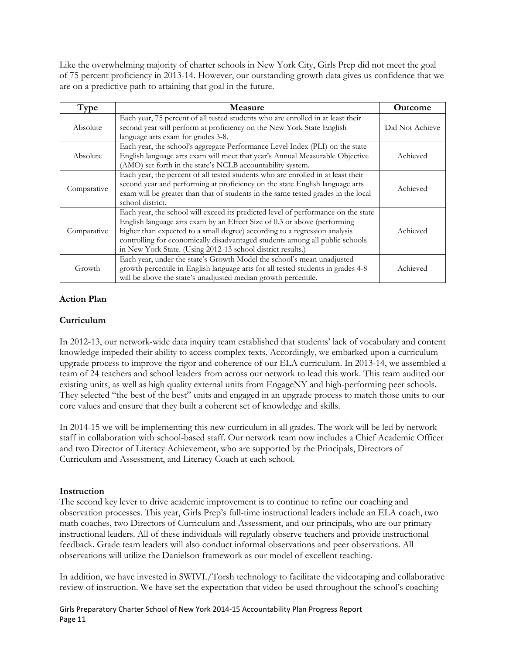Like the overwhelming majority of charter schools in New York City, Girls Prep did not meet the goal of 75 percent proficiency in 2013-14. However, our outstanding growth data gives us confidence that we are on a predictive path to attaining that goal in the future.

| Type        | <b>Measure</b>                                                                                                                                                                                                                                                                                                                                                                             | <b>Outcome</b>  |
|-------------|--------------------------------------------------------------------------------------------------------------------------------------------------------------------------------------------------------------------------------------------------------------------------------------------------------------------------------------------------------------------------------------------|-----------------|
| Absolute    | Each year, 75 percent of all tested students who are enrolled in at least their<br>second year will perform at proficiency on the New York State English<br>language arts exam for grades 3-8.                                                                                                                                                                                             | Did Not Achieve |
| Absolute    | Each year, the school's aggregate Performance Level Index (PLI) on the state<br>English language arts exam will meet that year's Annual Measurable Objective<br>(AMO) set forth in the state's NCLB accountability system.                                                                                                                                                                 | Achieved        |
| Comparative | Each year, the percent of all tested students who are enrolled in at least their<br>second year and performing at proficiency on the state English language arts<br>exam will be greater than that of students in the same tested grades in the local<br>school district.                                                                                                                  | Achieved        |
| Comparative | Each year, the school will exceed its predicted level of performance on the state<br>English language arts exam by an Effect Size of 0.3 or above (performing<br>higher than expected to a small degree) according to a regression analysis<br>controlling for economically disadvantaged students among all public schools<br>in New York State. (Using 2012-13 school district results.) | Achieved        |
| Growth      | Each year, under the state's Growth Model the school's mean unadjusted<br>growth percentile in English language arts for all tested students in grades 4-8<br>will be above the state's unadjusted median growth percentile.                                                                                                                                                               | Achieved        |

# **Action Plan**

# **Curriculum**

In 2012-13, our network-wide data inquiry team established that students' lack of vocabulary and content knowledge impeded their ability to access complex texts. Accordingly, we embarked upon a curriculum upgrade process to improve the rigor and coherence of our ELA curriculum. In 2013-14, we assembled a team of 24 teachers and school leaders from across our network to lead this work. This team audited our existing units, as well as high quality external units from EngageNY and high-performing peer schools. They selected "the best of the best" units and engaged in an upgrade process to match those units to our core values and ensure that they built a coherent set of knowledge and skills.

In 2014-15 we will be implementing this new curriculum in all grades. The work will be led by network staff in collaboration with school-based staff. Our network team now includes a Chief Academic Officer and two Director of Literacy Achievement, who are supported by the Principals, Directors of Curriculum and Assessment, and Literacy Coach at each school.

#### **Instruction**

The second key lever to drive academic improvement is to continue to refine our coaching and observation processes. This year, Girls Prep's full-time instructional leaders include an ELA coach, two math coaches, two Directors of Curriculum and Assessment, and our principals, who are our primary instructional leaders. All of these individuals will regularly observe teachers and provide instructional feedback. Grade team leaders will also conduct informal observations and peer observations. All observations will utilize the Danielson framework as our model of excellent teaching.

In addition, we have invested in SWIVL/Torsh technology to facilitate the videotaping and collaborative review of instruction. We have set the expectation that video be used throughout the school's coaching

Girls Preparatory Charter School of New York 2014-15 Accountability Plan Progress Report Page 11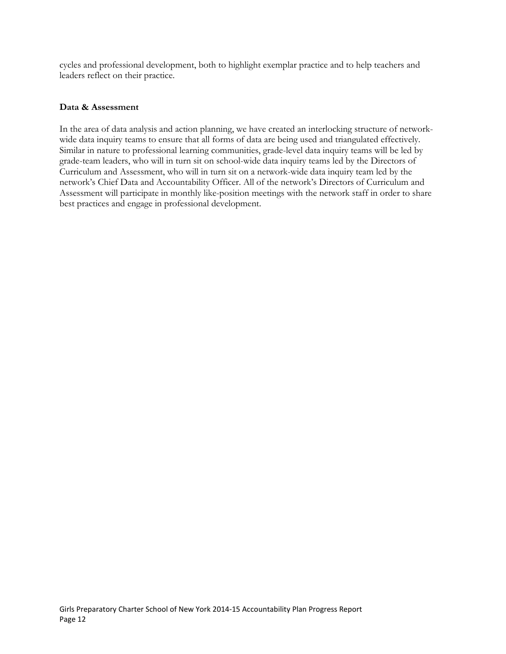cycles and professional development, both to highlight exemplar practice and to help teachers and leaders reflect on their practice.

#### **Data & Assessment**

In the area of data analysis and action planning, we have created an interlocking structure of networkwide data inquiry teams to ensure that all forms of data are being used and triangulated effectively. Similar in nature to professional learning communities, grade-level data inquiry teams will be led by grade-team leaders, who will in turn sit on school-wide data inquiry teams led by the Directors of Curriculum and Assessment, who will in turn sit on a network-wide data inquiry team led by the network's Chief Data and Accountability Officer. All of the network's Directors of Curriculum and Assessment will participate in monthly like-position meetings with the network staff in order to share best practices and engage in professional development.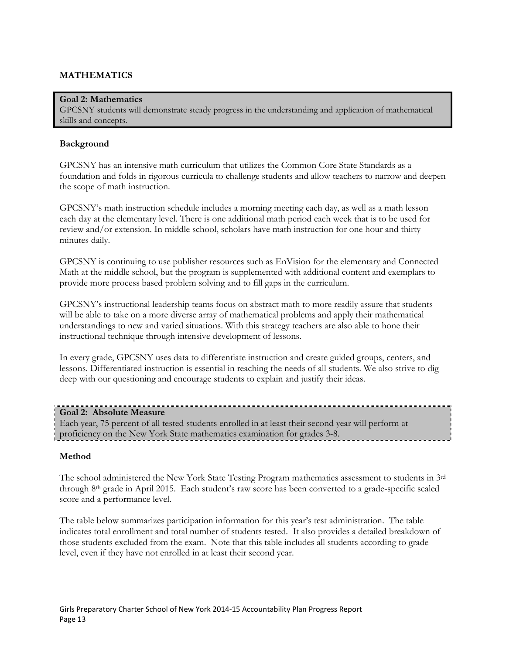# **MATHEMATICS**

#### **Goal 2: Mathematics**

GPCSNY students will demonstrate steady progress in the understanding and application of mathematical skills and concepts.

#### **Background**

GPCSNY has an intensive math curriculum that utilizes the Common Core State Standards as a foundation and folds in rigorous curricula to challenge students and allow teachers to narrow and deepen the scope of math instruction.

GPCSNY's math instruction schedule includes a morning meeting each day, as well as a math lesson each day at the elementary level. There is one additional math period each week that is to be used for review and/or extension. In middle school, scholars have math instruction for one hour and thirty minutes daily.

GPCSNY is continuing to use publisher resources such as EnVision for the elementary and Connected Math at the middle school, but the program is supplemented with additional content and exemplars to provide more process based problem solving and to fill gaps in the curriculum.

GPCSNY's instructional leadership teams focus on abstract math to more readily assure that students will be able to take on a more diverse array of mathematical problems and apply their mathematical understandings to new and varied situations. With this strategy teachers are also able to hone their instructional technique through intensive development of lessons.

In every grade, GPCSNY uses data to differentiate instruction and create guided groups, centers, and lessons. Differentiated instruction is essential in reaching the needs of all students. We also strive to dig deep with our questioning and encourage students to explain and justify their ideas.

#### **Goal 2: Absolute Measure**

Each year, 75 percent of all tested students enrolled in at least their second year will perform at proficiency on the New York State mathematics examination for grades 3-8.

# **Method**

The school administered the New York State Testing Program mathematics assessment to students in 3rd through 8th grade in April 2015. Each student's raw score has been converted to a grade-specific scaled score and a performance level.

The table below summarizes participation information for this year's test administration. The table indicates total enrollment and total number of students tested. It also provides a detailed breakdown of those students excluded from the exam. Note that this table includes all students according to grade level, even if they have not enrolled in at least their second year.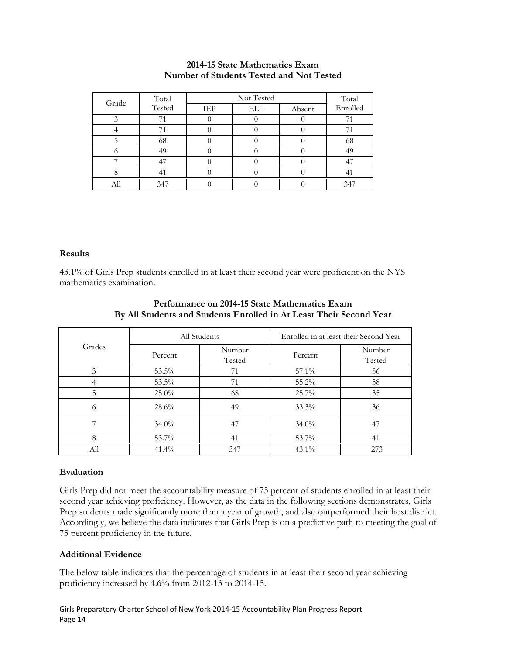#### **2014-15 State Mathematics Exam Number of Students Tested and Not Tested**

| Grade | Total  |     | Total |        |          |
|-------|--------|-----|-------|--------|----------|
|       | Tested | IEP | ELL   | Absent | Enrolled |
|       |        |     |       |        |          |
|       |        |     |       |        |          |
|       | 68     |     |       |        | 68       |
|       | 49     |     |       |        | 49       |
|       |        |     |       |        |          |
|       |        |     |       |        |          |
|       | 347    |     |       |        | 341      |

#### **Results**

43.1% of Girls Prep students enrolled in at least their second year were proficient on the NYS mathematics examination.

| Grades |          | All Students     |          | Enrolled in at least their Second Year |  |  |
|--------|----------|------------------|----------|----------------------------------------|--|--|
|        | Percent  | Number<br>Tested | Percent  | Number<br>Tested                       |  |  |
| 3      | $53.5\%$ | 71               | 57.1%    | 56                                     |  |  |
|        | 53.5%    | 71               | 55.2%    | 58                                     |  |  |
| 5      | $25.0\%$ | 68               | 25.7%    | 35                                     |  |  |
| 6      | 28.6%    | 49               | 33.3%    | 36                                     |  |  |
|        | $34.0\%$ | 47               | $34.0\%$ | 47                                     |  |  |
| 8      | 53.7%    | 41               | 53.7%    | 41                                     |  |  |
| All    | 41.4%    | 347              | $43.1\%$ | 273                                    |  |  |

# **Performance on 2014-15 State Mathematics Exam By All Students and Students Enrolled in At Least Their Second Year**

# **Evaluation**

Girls Prep did not meet the accountability measure of 75 percent of students enrolled in at least their second year achieving proficiency. However, as the data in the following sections demonstrates, Girls Prep students made significantly more than a year of growth, and also outperformed their host district. Accordingly, we believe the data indicates that Girls Prep is on a predictive path to meeting the goal of 75 percent proficiency in the future.

# **Additional Evidence**

The below table indicates that the percentage of students in at least their second year achieving proficiency increased by 4.6% from 2012-13 to 2014-15.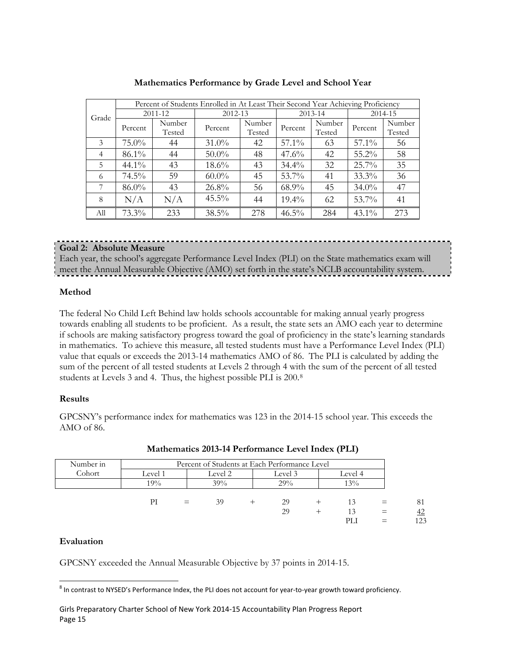|                |          |         |          | Percent of Students Enrolled in At Least Their Second Year Achieving Proficiency |          |        |          |        |  |
|----------------|----------|---------|----------|----------------------------------------------------------------------------------|----------|--------|----------|--------|--|
| Grade          |          | 2011-12 | 2012-13  |                                                                                  | 2013-14  |        | 2014-15  |        |  |
|                | Percent  | Number  | Percent  | Number                                                                           | Percent  | Number | Percent  | Number |  |
|                |          | Tested  |          | Tested                                                                           |          | Tested |          | Tested |  |
| 3              | $75.0\%$ | 44      | $31.0\%$ | 42                                                                               | 57.1%    | 63     | 57.1%    | 56     |  |
| $\overline{4}$ | 86.1%    | 44      | $50.0\%$ | 48                                                                               | 47.6%    | 42     | 55.2%    | 58     |  |
| 5              | $44.1\%$ | 43      | $18.6\%$ | 43                                                                               | $34.4\%$ | 32     | $25.7\%$ | 35     |  |
| 6              | $74.5\%$ | 59      | $60.0\%$ | 45                                                                               | 53.7%    | 41     | 33.3%    | 36     |  |
| 7              | 86.0%    | 43      | 26.8%    | 56                                                                               | 68.9%    | 45     | $34.0\%$ | 47     |  |
| 8              | N/A      | N/A     | $45.5\%$ | 44                                                                               | $19.4\%$ | 62     | 53.7%    | 41     |  |
| All            | $73.3\%$ | 233     | 38.5%    | 278                                                                              | $46.5\%$ | 284    | $43.1\%$ | 273    |  |

**Mathematics Performance by Grade Level and School Year**

# **Goal 2: Absolute Measure**

Each year, the school's aggregate Performance Level Index (PLI) on the State mathematics exam will meet the Annual Measurable Objective (AMO) set forth in the state's NCLB accountability system.

# **Method**

The federal No Child Left Behind law holds schools accountable for making annual yearly progress towards enabling all students to be proficient. As a result, the state sets an AMO each year to determine if schools are making satisfactory progress toward the goal of proficiency in the state's learning standards in mathematics. To achieve this measure, all tested students must have a Performance Level Index (PLI) value that equals or exceeds the 2013-14 mathematics AMO of 86. The PLI is calculated by adding the sum of the percent of all tested students at Levels 2 through 4 with the sum of the percent of all tested students at Levels 3 and 4. Thus, the highest possible PLI is 200.[8](#page-15-0)

#### **Results**

GPCSNY's performance index for mathematics was 123 in the 2014-15 school year. This exceeds the AMO of 86.

| Number in |         | Percent of Students at Each Performance Level |         |  |         |  |         |  |     |
|-----------|---------|-----------------------------------------------|---------|--|---------|--|---------|--|-----|
| Cohort    | Level 1 |                                               | Level 2 |  | Level 3 |  | Level 4 |  |     |
|           | 19%     |                                               | 39%     |  | 29%     |  | 13%     |  |     |
|           | PI      | $=$                                           | 39      |  | 29      |  |         |  | 81  |
|           |         |                                               |         |  | 29      |  | 13      |  | 42  |
|           |         |                                               |         |  |         |  | PLI     |  | 123 |

|  | <b>Mathematics 2013-14 Performance Level Index (PLI)</b> |  |  |
|--|----------------------------------------------------------|--|--|
|  |                                                          |  |  |

# **Evaluation**

GPCSNY exceeded the Annual Measurable Objective by 37 points in 2014-15.

<span id="page-15-0"></span><sup>8</sup> In contrast to NYSED's Performance Index, the PLI does not account for year-to-year growth toward proficiency.  $\overline{a}$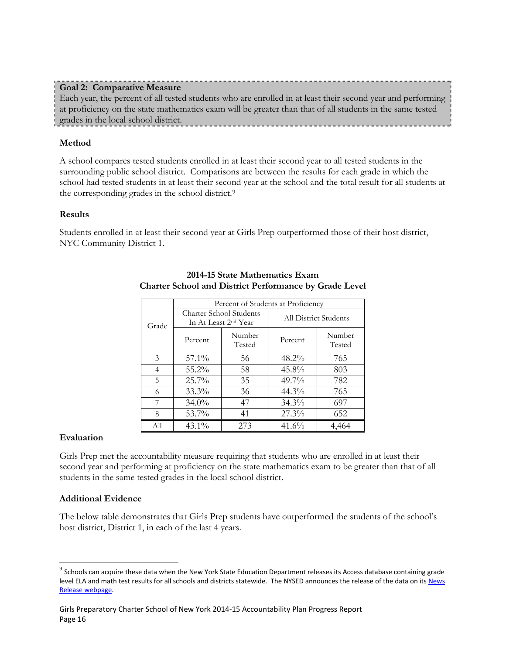| _______________<br><b>Goal 2: Comparative Measure</b>                                                       |  |
|-------------------------------------------------------------------------------------------------------------|--|
| Each year, the percent of all tested students who are enrolled in at least their second year and performing |  |
| at proficiency on the state mathematics exam will be greater than that of all students in the same tested   |  |
| grades in the local school district.                                                                        |  |
|                                                                                                             |  |

# **Method**

A school compares tested students enrolled in at least their second year to all tested students in the surrounding public school district. Comparisons are between the results for each grade in which the school had tested students in at least their second year at the school and the total result for all students at the corresponding grades in the school district.[9](#page-16-0)

#### **Results**

Students enrolled in at least their second year at Girls Prep outperformed those of their host district, NYC Community District 1.

|       | Percent of Students at Proficiency                                 |     |                       |                  |  |  |  |  |
|-------|--------------------------------------------------------------------|-----|-----------------------|------------------|--|--|--|--|
| Grade | <b>Charter School Students</b><br>In At Least 2 <sup>nd</sup> Year |     | All District Students |                  |  |  |  |  |
|       | Number<br>Percent<br>Tested                                        |     | Percent               | Number<br>Tested |  |  |  |  |
| 3     | $57.1\%$                                                           | 56  | $48.2\%$              | 765              |  |  |  |  |
| 4     | 55.2%                                                              | 58  | $45.8\%$              | 803              |  |  |  |  |
| 5     | 25.7%                                                              | 35  | $49.7\%$              | 782              |  |  |  |  |
| 6     | $33.3\%$                                                           | 36  | $44.3\%$              | 765              |  |  |  |  |
| 7     | $34.0\%$                                                           | 47  | $34.3\%$              | 697              |  |  |  |  |
| 8     | 53.7%                                                              | 41  | $27.3\%$              | 652              |  |  |  |  |
| All   | $43.1\%$                                                           | 273 | 41.6%                 | 4,464            |  |  |  |  |

# **2014-15 State Mathematics Exam Charter School and District Performance by Grade Level**

# **Evaluation**

 $\overline{a}$ 

Girls Prep met the accountability measure requiring that students who are enrolled in at least their second year and performing at proficiency on the state mathematics exam to be greater than that of all students in the same tested grades in the local school district.

#### **Additional Evidence**

The below table demonstrates that Girls Prep students have outperformed the students of the school's host district, District 1, in each of the last 4 years.

<span id="page-16-0"></span> $^9$  Schools can acquire these data when the New York State Education Department releases its Access database containing grade level ELA and math test results for all schools and districts statewide. The NYSED announces the release of the data on its News [Release webpage.](http://www.oms.nysed.gov/press/)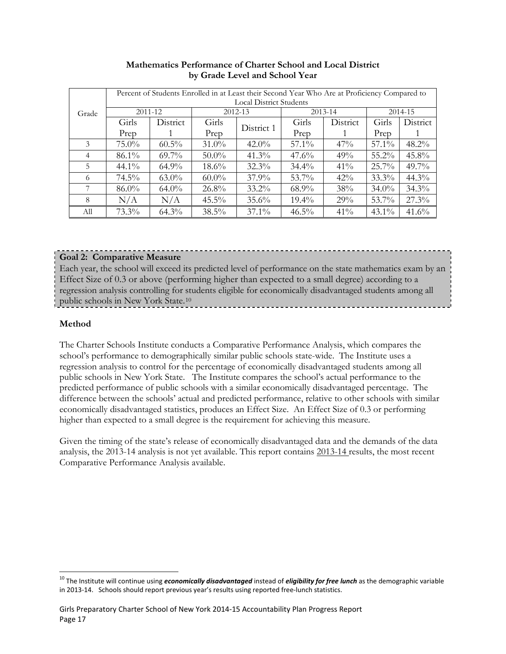|                |          | Percent of Students Enrolled in at Least their Second Year Who Are at Proficiency Compared to |          |                                |          |          |          |          |  |  |
|----------------|----------|-----------------------------------------------------------------------------------------------|----------|--------------------------------|----------|----------|----------|----------|--|--|
|                |          |                                                                                               |          | <b>Local District Students</b> |          |          |          |          |  |  |
| Grade          | 2011-12  |                                                                                               |          | 2012-13                        |          | 2013-14  | 2014-15  |          |  |  |
|                | Girls    | District                                                                                      | Girls    | District 1                     | Girls    | District | Girls    | District |  |  |
|                | Prep     |                                                                                               | Prep     |                                | Prep     |          | Prep     |          |  |  |
| 3              | $75.0\%$ | $60.5\%$                                                                                      | $31.0\%$ | $42.0\%$                       | $57.1\%$ | 47%      | 57.1%    | $48.2\%$ |  |  |
| $\overline{4}$ | $86.1\%$ | $69.7\%$                                                                                      | $50.0\%$ | $41.3\%$                       | $47.6\%$ | 49%      | $55.2\%$ | $45.8\%$ |  |  |
| 5              | $44.1\%$ | $64.9\%$                                                                                      | $18.6\%$ | $32.3\%$                       | $34.4\%$ | 41%      | $25.7\%$ | $49.7\%$ |  |  |
| 6              | $74.5\%$ | $63.0\%$                                                                                      | $60.0\%$ | $37.9\%$                       | $53.7\%$ | 42%      | $33.3\%$ | $44.3\%$ |  |  |
| 7              | $86.0\%$ | $64.0\%$                                                                                      | $26.8\%$ | $33.2\%$                       | $68.9\%$ | 38%      | $34.0\%$ | 34.3%    |  |  |
| 8              | N/A      | N/A                                                                                           | $45.5\%$ | $35.6\%$                       | $19.4\%$ | 29%      | 53.7%    | 27.3%    |  |  |
| All            | $73.3\%$ | $64.3\%$                                                                                      | $38.5\%$ | $37.1\%$                       | $46.5\%$ | $41\%$   | $43.1\%$ | 41.6%    |  |  |

# **Mathematics Performance of Charter School and Local District by Grade Level and School Year**

# **Goal 2: Comparative Measure**

Each year, the school will exceed its predicted level of performance on the state mathematics exam by an Effect Size of 0.3 or above (performing higher than expected to a small degree) according to a regression analysis controlling for students eligible for economically disadvantaged students among all public schools in New York State.[10](#page-17-0)

# **Method**

 $\overline{a}$ 

The Charter Schools Institute conducts a Comparative Performance Analysis, which compares the school's performance to demographically similar public schools state-wide. The Institute uses a regression analysis to control for the percentage of economically disadvantaged students among all public schools in New York State. The Institute compares the school's actual performance to the predicted performance of public schools with a similar economically disadvantaged percentage. The difference between the schools' actual and predicted performance, relative to other schools with similar economically disadvantaged statistics, produces an Effect Size. An Effect Size of 0.3 or performing higher than expected to a small degree is the requirement for achieving this measure.

Given the timing of the state's release of economically disadvantaged data and the demands of the data analysis, the 2013-14 analysis is not yet available. This report contains 2013-14 results, the most recent Comparative Performance Analysis available.

<span id="page-17-0"></span><sup>&</sup>lt;sup>10</sup> The Institute will continue using *economically disadvantaged* instead of *eligibility for free lunch* as the demographic variable in 2013-14. Schools should report previous year's results using reported free-lunch statistics.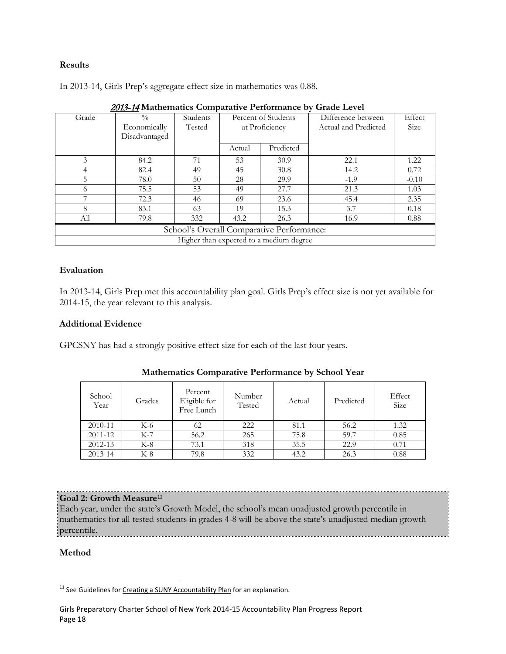# **Results**

In 2013-14, Girls Prep's aggregate effect size in mathematics was 0.88.

| 2019-14 Mathematics Comparative I enormance by Grade Level |                                             |          |        |                                         |                      |         |  |  |
|------------------------------------------------------------|---------------------------------------------|----------|--------|-----------------------------------------|----------------------|---------|--|--|
| Grade                                                      | $\frac{0}{0}$                               | Students |        | Percent of Students                     | Difference between   | Effect  |  |  |
|                                                            | Economically                                | Tested   |        | at Proficiency                          | Actual and Predicted | Size    |  |  |
|                                                            | Disadvantaged                               |          |        |                                         |                      |         |  |  |
|                                                            |                                             |          | Actual | Predicted                               |                      |         |  |  |
| 3                                                          | 84.2                                        | 71       | 53     | 30.9                                    | 22.1                 | 1.22    |  |  |
|                                                            | 82.4                                        | 49       | 45     | 30.8                                    | 14.2                 | 0.72    |  |  |
| 5.                                                         | 78.0                                        | 50       | 28     | 29.9                                    | $-1.9$               | $-0.10$ |  |  |
| 6                                                          | 75.5                                        | 53       | 49     | 27.7                                    | 21.3                 | 1.03    |  |  |
|                                                            | 72.3                                        | 46       | 69     | 23.6                                    | 45.4                 | 2.35    |  |  |
| 8                                                          | 83.1                                        | 63       | 19     | 15.3                                    | 3.7                  | 0.18    |  |  |
| All                                                        | 79.8<br>332<br>26.3<br>43.2<br>16.9<br>0.88 |          |        |                                         |                      |         |  |  |
| School's Overall Comparative Performance:                  |                                             |          |        |                                         |                      |         |  |  |
|                                                            |                                             |          |        | Higher than expected to a medium degree |                      |         |  |  |

| 2013-14 Mathematics Comparative Performance by Grade Level |  |  |
|------------------------------------------------------------|--|--|
|                                                            |  |  |

# **Evaluation**

In 2013-14, Girls Prep met this accountability plan goal. Girls Prep's effect size is not yet available for 2014-15, the year relevant to this analysis.

#### **Additional Evidence**

GPCSNY has had a strongly positive effect size for each of the last four years.

| School<br>Year | Grades | Percent<br>Eligible for<br>Free Lunch | Number<br>Tested | Actual | Predicted | Effect<br>Size |
|----------------|--------|---------------------------------------|------------------|--------|-----------|----------------|
| 2010-11        | K-6    | 62                                    | 222              | 81.1   | 56.2      | 1.32           |
| $2011 - 12$    | $K-7$  | 56.2                                  | 265              | 75.8   | 59.7      | 0.85           |
| 2012-13        | $K-8$  | 73.1                                  | 318              | 35.5   | 22.9      | 0.71           |
| 2013-14        | K-8    | 79.8                                  | 332              | 43.2   | 26.3      | 0.88           |

# **Mathematics Comparative Performance by School Year**

# **Goal 2: Growth Measure[11](#page-18-0)**

Each year, under the state's Growth Model, the school's mean unadjusted growth percentile in mathematics for all tested students in grades 4-8 will be above the state's unadjusted median growth percentile.

# **Method**

<span id="page-18-0"></span><sup>&</sup>lt;sup>11</sup> See Guidelines for Creating [a SUNY Accountability Plan](http://www.newyorkcharters.org/operate/first-year-schools/accountability-plan/) for an explanation.  $\overline{a}$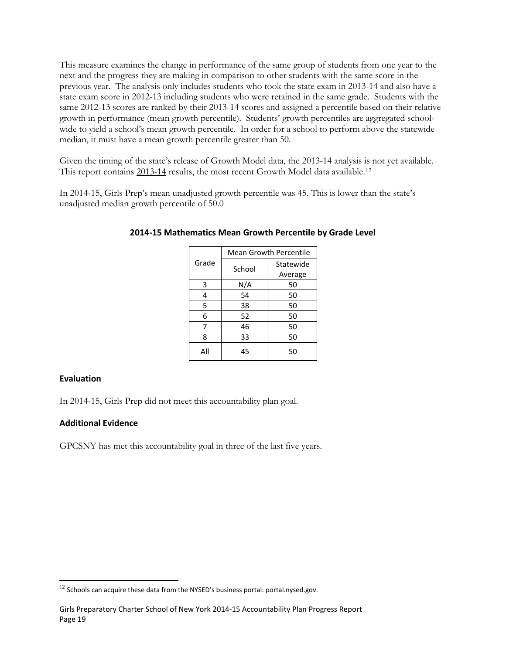This measure examines the change in performance of the same group of students from one year to the next and the progress they are making in comparison to other students with the same score in the previous year. The analysis only includes students who took the state exam in 2013-14 and also have a state exam score in 2012-13 including students who were retained in the same grade. Students with the same 2012-13 scores are ranked by their 2013-14 scores and assigned a percentile based on their relative growth in performance (mean growth percentile). Students' growth percentiles are aggregated schoolwide to yield a school's mean growth percentile. In order for a school to perform above the statewide median, it must have a mean growth percentile greater than 50.

Given the timing of the state's release of Growth Model data, the 2013-14 analysis is not yet available. This report contains 2013-14 results, the most recent Growth Model data available.[12](#page-19-0) 

In 2014-15, Girls Prep's mean unadjusted growth percentile was 45. This is lower than the state's unadjusted median growth percentile of 50.0

|       | <b>Mean Growth Percentile</b> |           |  |  |
|-------|-------------------------------|-----------|--|--|
| Grade | School                        | Statewide |  |  |
|       |                               | Average   |  |  |
| 3     | N/A                           | 50        |  |  |
| 4     | 54                            | 50        |  |  |
| 5     | 38                            | 50        |  |  |
| 6     | 52                            | 50        |  |  |
| 7     | 46                            | 50        |  |  |
| Ջ     | 33                            | 50        |  |  |
| Αll   | 45                            | 50        |  |  |

#### **2014-15 Mathematics Mean Growth Percentile by Grade Level**

#### **Evaluation**

 $\overline{a}$ 

In 2014-15, Girls Prep did not meet this accountability plan goal.

#### **Additional Evidence**

GPCSNY has met this accountability goal in three of the last five years.

<span id="page-19-0"></span> $12$  Schools can acquire these data from the NYSED's business portal: portal.nysed.gov.

Girls Preparatory Charter School of New York 2014-15 Accountability Plan Progress Report Page 19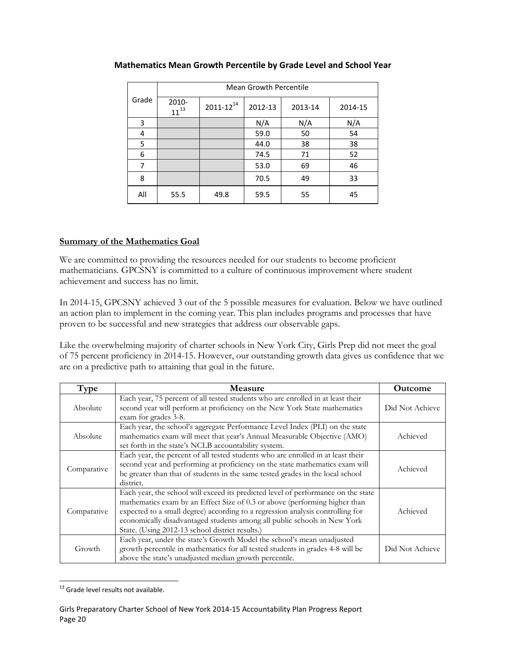|       | <b>Mean Growth Percentile</b> |                  |         |         |         |  |
|-------|-------------------------------|------------------|---------|---------|---------|--|
| Grade | 2010-<br>$11^{13}$            | $2011 - 12^{14}$ | 2012-13 | 2013-14 | 2014-15 |  |
| 3     |                               |                  | N/A     | N/A     | N/A     |  |
| 4     |                               |                  | 59.0    | 50      | 54      |  |
| 5     |                               |                  | 44.0    | 38      | 38      |  |
| 6     |                               |                  | 74.5    | 71      | 52      |  |
| 7     |                               |                  | 53.0    | 69      | 46      |  |
| 8     |                               |                  | 70.5    | 49      | 33      |  |
| All   | 55.5                          | 49.8             | 59.5    | 55      | 45      |  |

# **Mathematics Mean Growth Percentile by Grade Level and School Year**

# **Summary of the Mathematics Goal**

We are committed to providing the resources needed for our students to become proficient mathematicians. GPCSNY is committed to a culture of continuous improvement where student achievement and success has no limit.

In 2014-15, GPCSNY achieved 3 out of the 5 possible measures for evaluation. Below we have outlined an action plan to implement in the coming year. This plan includes programs and processes that have proven to be successful and new strategies that address our observable gaps.

Like the overwhelming majority of charter schools in New York City, Girls Prep did not meet the goal of 75 percent proficiency in 2014-15. However, our outstanding growth data gives us confidence that we are on a predictive path to attaining that goal in the future.

| Type        | <b>Measure</b>                                                                                                                                                                                                                                                                                                                                                                   | <b>Outcome</b>  |
|-------------|----------------------------------------------------------------------------------------------------------------------------------------------------------------------------------------------------------------------------------------------------------------------------------------------------------------------------------------------------------------------------------|-----------------|
| Absolute    | Each year, 75 percent of all tested students who are enrolled in at least their<br>second year will perform at proficiency on the New York State mathematics<br>exam for grades 3-8.                                                                                                                                                                                             | Did Not Achieve |
| Absolute    | Each year, the school's aggregate Performance Level Index (PLI) on the state<br>mathematics exam will meet that year's Annual Measurable Objective (AMO)<br>set forth in the state's NCLB accountability system.                                                                                                                                                                 | Achieved        |
| Comparative | Each year, the percent of all tested students who are enrolled in at least their<br>second year and performing at proficiency on the state mathematics exam will<br>be greater than that of students in the same tested grades in the local school<br>district.                                                                                                                  | Achieved        |
| Comparative | Each year, the school will exceed its predicted level of performance on the state<br>mathematics exam by an Effect Size of 0.3 or above (performing higher than<br>expected to a small degree) according to a regression analysis controlling for<br>economically disadvantaged students among all public schools in New York<br>State. (Using 2012-13 school district results.) | Achieved        |
| Growth      | Each year, under the state's Growth Model the school's mean unadjusted<br>growth percentile in mathematics for all tested students in grades 4-8 will be<br>above the state's unadjusted median growth percentile.                                                                                                                                                               | Did Not Achieve |

<span id="page-20-0"></span><sup>&</sup>lt;sup>13</sup> Grade level results not available.  $\overline{a}$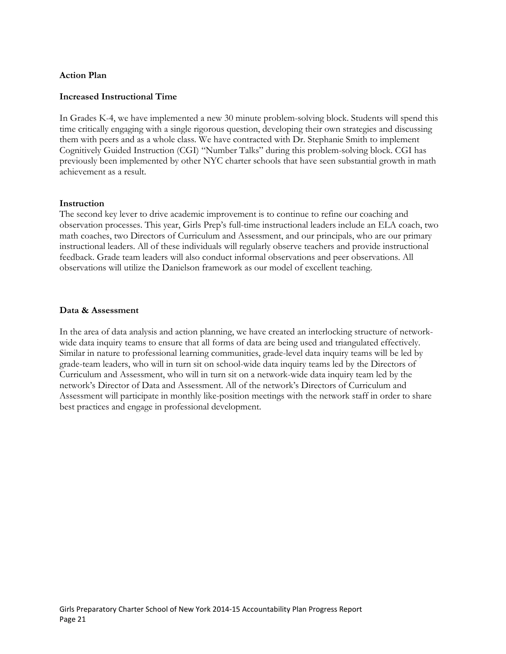# **Action Plan**

#### **Increased Instructional Time**

In Grades K-4, we have implemented a new 30 minute problem-solving block. Students will spend this time critically engaging with a single rigorous question, developing their own strategies and discussing them with peers and as a whole class. We have contracted with Dr. Stephanie Smith to implement Cognitively Guided Instruction (CGI) "Number Talks" during this problem-solving block. CGI has previously been implemented by other NYC charter schools that have seen substantial growth in math achievement as a result.

#### **Instruction**

The second key lever to drive academic improvement is to continue to refine our coaching and observation processes. This year, Girls Prep's full-time instructional leaders include an ELA coach, two math coaches, two Directors of Curriculum and Assessment, and our principals, who are our primary instructional leaders. All of these individuals will regularly observe teachers and provide instructional feedback. Grade team leaders will also conduct informal observations and peer observations. All observations will utilize the Danielson framework as our model of excellent teaching.

#### **Data & Assessment**

In the area of data analysis and action planning, we have created an interlocking structure of networkwide data inquiry teams to ensure that all forms of data are being used and triangulated effectively. Similar in nature to professional learning communities, grade-level data inquiry teams will be led by grade-team leaders, who will in turn sit on school-wide data inquiry teams led by the Directors of Curriculum and Assessment, who will in turn sit on a network-wide data inquiry team led by the network's Director of Data and Assessment. All of the network's Directors of Curriculum and Assessment will participate in monthly like-position meetings with the network staff in order to share best practices and engage in professional development.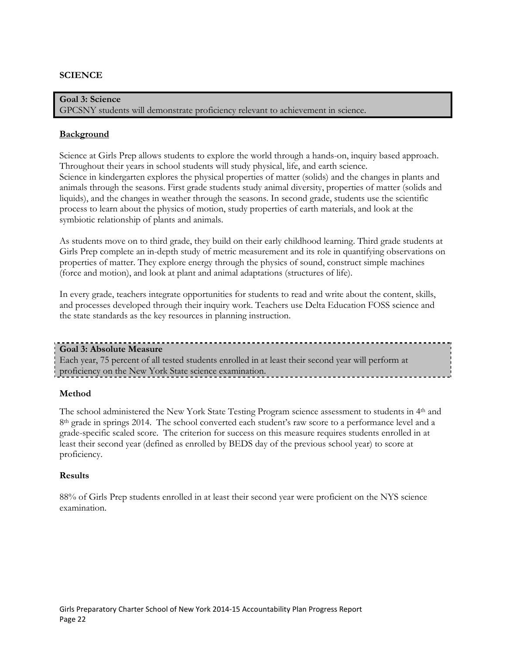# **SCIENCE**

**Goal 3: Science** GPCSNY students will demonstrate proficiency relevant to achievement in science.

#### **Background**

Science at Girls Prep allows students to explore the world through a hands-on, inquiry based approach. Throughout their years in school students will study physical, life, and earth science. Science in kindergarten explores the physical properties of matter (solids) and the changes in plants and animals through the seasons. First grade students study animal diversity, properties of matter (solids and liquids), and the changes in weather through the seasons. In second grade, students use the scientific process to learn about the physics of motion, study properties of earth materials, and look at the symbiotic relationship of plants and animals.

As students move on to third grade, they build on their early childhood learning. Third grade students at Girls Prep complete an in-depth study of metric measurement and its role in quantifying observations on properties of matter. They explore energy through the physics of sound, construct simple machines (force and motion), and look at plant and animal adaptations (structures of life).

In every grade, teachers integrate opportunities for students to read and write about the content, skills, and processes developed through their inquiry work. Teachers use Delta Education FOSS science and the state standards as the key resources in planning instruction.

#### **Goal 3: Absolute Measure**

Each year, 75 percent of all tested students enrolled in at least their second year will perform at proficiency on the New York State science examination.

#### **Method**

The school administered the New York State Testing Program science assessment to students in 4th and 8<sup>th</sup> grade in springs 2014. The school converted each student's raw score to a performance level and a grade-specific scaled score. The criterion for success on this measure requires students enrolled in at least their second year (defined as enrolled by BEDS day of the previous school year) to score at proficiency.

#### **Results**

88% of Girls Prep students enrolled in at least their second year were proficient on the NYS science examination.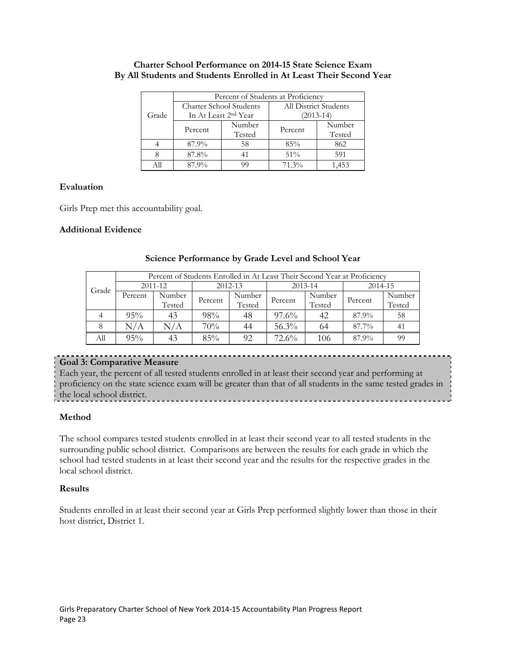|  | <b>Charter School Performance on 2014-15 State Science Exam</b>     |  |
|--|---------------------------------------------------------------------|--|
|  | By All Students and Students Enrolled in At Least Their Second Year |  |

|       | Percent of Students at Proficiency |                                |                       |        |  |  |  |
|-------|------------------------------------|--------------------------------|-----------------------|--------|--|--|--|
|       |                                    | <b>Charter School Students</b> | All District Students |        |  |  |  |
| Grade | In At Least 2 <sup>nd</sup> Year   |                                | (2013-14)             |        |  |  |  |
|       | Percent                            | Number                         | Percent               | Number |  |  |  |
|       |                                    | Tested                         |                       | Tested |  |  |  |
|       | 87.9%                              | 58                             | 85%                   | 862    |  |  |  |
|       | 87.8%                              |                                | 51%                   | 591    |  |  |  |
|       | 87.9%                              |                                | 71.3%                 |        |  |  |  |

#### **Evaluation**

Girls Prep met this accountability goal.

# **Additional Evidence**

|       |         | Percent of Students Enrolled in At Least Their Second Year at Proficiency |         |        |          |        |         |        |  |  |
|-------|---------|---------------------------------------------------------------------------|---------|--------|----------|--------|---------|--------|--|--|
| Grade | 2011-12 |                                                                           | 2012-13 |        | 2013-14  |        | 2014-15 |        |  |  |
|       | Percent | Number                                                                    | Percent | Number | Percent  | Number | Percent | Number |  |  |
|       |         | Tested                                                                    |         | Tested |          | Tested |         | Tested |  |  |
|       | 95%     | 43                                                                        | 98%     | 48     | $97.6\%$ | 42     | 87.9%   | 58     |  |  |
| 8     | N/A     | N/A                                                                       | 70%     | 44     | 56.3%    | 64     | 87.7%   | 41     |  |  |
| All   | $95\%$  |                                                                           | 85%     | 92     | $72.6\%$ | 106    | 87.9%   | 99     |  |  |

#### **Science Performance by Grade Level and School Year**

# **Goal 3: Comparative Measure**

Each year, the percent of all tested students enrolled in at least their second year and performing at proficiency on the state science exam will be greater than that of all students in the same tested grades in the local school district.

# **Method**

The school compares tested students enrolled in at least their second year to all tested students in the surrounding public school district. Comparisons are between the results for each grade in which the school had tested students in at least their second year and the results for the respective grades in the local school district.

#### **Results**

Students enrolled in at least their second year at Girls Prep performed slightly lower than those in their host district, District 1.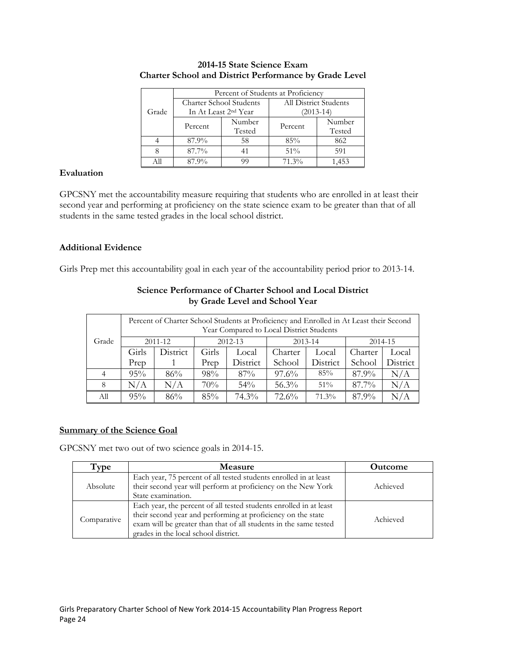|       | Percent of Students at Proficiency |                                  |                       |        |  |  |  |
|-------|------------------------------------|----------------------------------|-----------------------|--------|--|--|--|
|       |                                    | Charter School Students          | All District Students |        |  |  |  |
| Grade |                                    | In At Least 2 <sup>nd</sup> Year | $(2013-14)$           |        |  |  |  |
|       | Percent                            | Number                           | Percent               | Number |  |  |  |
|       |                                    | Tested                           |                       | Tested |  |  |  |
|       | 87.9%                              | 58                               | 85%                   | 862    |  |  |  |
|       | 87.7%                              |                                  | 51%                   | 591    |  |  |  |
|       | 87.9%                              |                                  | 71.3%                 | .453   |  |  |  |

#### **2014-15 State Science Exam Charter School and District Performance by Grade Level**

# **Evaluation**

GPCSNY met the accountability measure requiring that students who are enrolled in at least their second year and performing at proficiency on the state science exam to be greater than that of all students in the same tested grades in the local school district.

# **Additional Evidence**

Girls Prep met this accountability goal in each year of the accountability period prior to 2013-14.

| Percent of Charter School Students at Proficiency and Enrolled in At Least their Second<br>Year Compared to Local District Students |       |          |       |          |          |          |          |          |
|-------------------------------------------------------------------------------------------------------------------------------------|-------|----------|-------|----------|----------|----------|----------|----------|
| Grade                                                                                                                               |       | 2011-12  |       | 2012-13  |          | 2013-14  | 2014-15  |          |
|                                                                                                                                     | Girls | District | Girls | Local    | Charter  | Local    | Charter  | Local    |
|                                                                                                                                     | Prep  |          | Prep  | District | School   | District | School   | District |
| 4                                                                                                                                   | 95%   | 86%      | 98%   | $87\%$   | $97.6\%$ | 85%      | 87.9%    | N/A      |
| 8                                                                                                                                   | N/A   | N/A      | 70%   | $54\%$   | $56.3\%$ | $51\%$   | $87.7\%$ | N/A      |
| All                                                                                                                                 | 95%   | 86%      | 85%   | $74.3\%$ | $72.6\%$ | $71.3\%$ | 87.9%    | N/A      |

#### **Science Performance of Charter School and Local District by Grade Level and School Year**

# **Summary of the Science Goal**

GPCSNY met two out of two science goals in 2014-15.

| Type        | <b>Measure</b>                                                                                                                                                                                                                                  | <b>Outcome</b> |
|-------------|-------------------------------------------------------------------------------------------------------------------------------------------------------------------------------------------------------------------------------------------------|----------------|
| Absolute    | Each year, 75 percent of all tested students enrolled in at least<br>their second year will perform at proficiency on the New York<br>State examination.                                                                                        | Achieved       |
| Comparative | Each year, the percent of all tested students enrolled in at least<br>their second year and performing at proficiency on the state<br>exam will be greater than that of all students in the same tested<br>grades in the local school district. | Achieved       |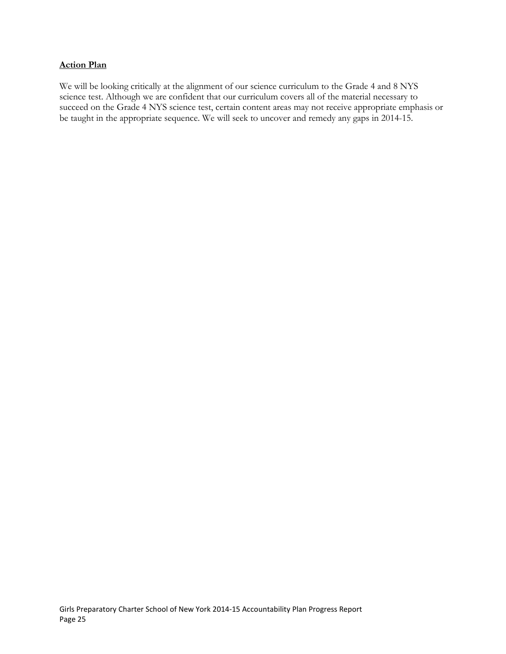# **Action Plan**

We will be looking critically at the alignment of our science curriculum to the Grade 4 and 8 NYS science test. Although we are confident that our curriculum covers all of the material necessary to succeed on the Grade 4 NYS science test, certain content areas may not receive appropriate emphasis or be taught in the appropriate sequence. We will seek to uncover and remedy any gaps in 2014-15.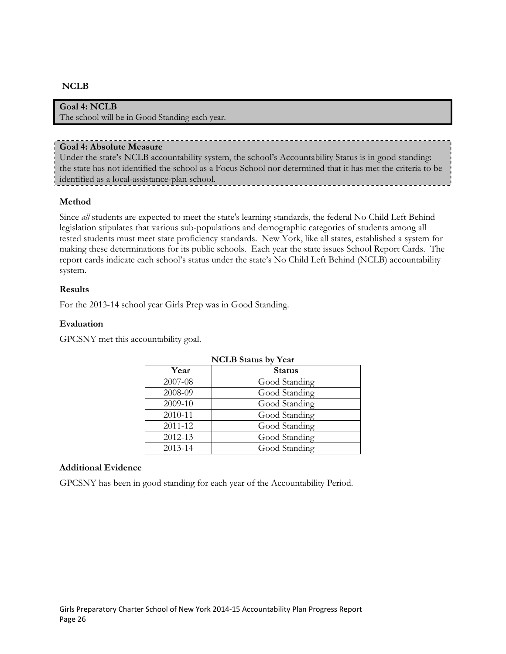# **NCLB**

# **Goal 4: NCLB**

The school will be in Good Standing each year.

#### **Goal 4: Absolute Measure**

Under the state's NCLB accountability system, the school's Accountability Status is in good standing: the state has not identified the school as a Focus School nor determined that it has met the criteria to be identified as a local-assistance-plan school.

#### **Method**

Since *all* students are expected to meet the state's learning standards, the federal No Child Left Behind legislation stipulates that various sub-populations and demographic categories of students among all tested students must meet state proficiency standards. New York, like all states, established a system for making these determinations for its public schools. Each year the state issues School Report Cards. The report cards indicate each school's status under the state's No Child Left Behind (NCLB) accountability system.

#### **Results**

For the 2013-14 school year Girls Prep was in Good Standing.

#### **Evaluation**

GPCSNY met this accountability goal.

| <b>NCLB</b> Status by Year |               |  |
|----------------------------|---------------|--|
| Year                       | <b>Status</b> |  |
| 2007-08                    | Good Standing |  |
| 2008-09                    | Good Standing |  |
| 2009-10                    | Good Standing |  |
| 2010-11                    | Good Standing |  |
| 2011-12                    | Good Standing |  |
| 2012-13                    | Good Standing |  |
| 2013-14                    | Good Standing |  |

#### **Additional Evidence**

GPCSNY has been in good standing for each year of the Accountability Period.